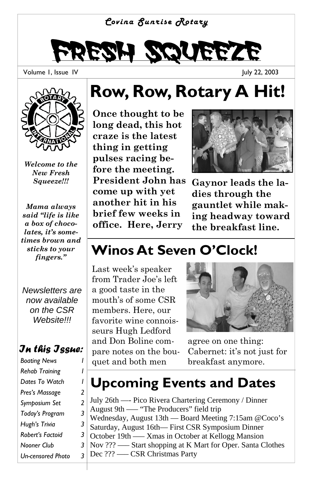#### *Covina Sunrise Rotary*

# Fresh Squeeze

Volume 1, Issue IV

July 22, 2003



*Welcome to the New Fresh Squeeze!!!* 

*Mama always said "life is like a box of chocolates, it's sometimes brown and sticks to your fingers."* 

*Newsletters are now available on the CSR Website!!!* 

#### *In this Issue:*

*Rehab Training 1*  **Dates To Watch** *Pres's Massage 2 Symposium Set 2 Today's Program 3 Hugh's Trivia 3 Robert's Factoid 3 Nooner Club 3 Un-censored Photo 3* 

# **Row, Row, Rotary A Hit!**

**Once thought to be long dead, this hot craze is the latest thing in getting pulses racing before the meeting. President John has come up with yet another hit in his brief few weeks in office. Here, Jerry** 



**Gaynor leads the ladies through the gauntlet while making headway toward the breakfast line.** 

### **Winos At Seven O'Clock!**

Last week's speaker from Trader Joe's left a good taste in the mouth's of some CSR members. Here, our favorite wine connoisseurs Hugh Ledford and Don Boline compare notes on the bouquet and both men breakfast anymore. *Boating News 1* 



agree on one thing: Cabernet: it's not just for

### **Upcoming Events and Dates**

July 26th —- Pico Rivera Chartering Ceremony / Dinner August 9th —– "The Producers" field trip Wednesday, August 13th — Board Meeting 7:15am @Coco's Saturday, August 16th— First CSR Symposium Dinner October 19th —– Xmas in October at Kellogg Mansion Nov ??? —– Start shopping at K Mart for Oper. Santa Clothes Dec ??? —– CSR Christmas Party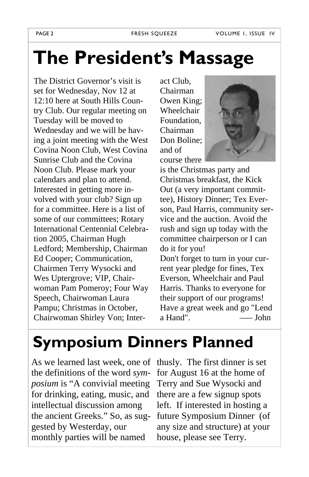# **The President's Massage**

The District Governor's visit is set for Wednesday, Nov 12 at 12:10 here at South Hills Country Club. Our regular meeting on Tuesday will be moved to Wednesday and we will be having a joint meeting with the West Covina Noon Club, West Covina Sunrise Club and the Covina Noon Club. Please mark your calendars and plan to attend. Interested in getting more involved with your club? Sign up for a committee. Here is a list of some of our committees; Rotary International Centennial Celebration 2005, Chairman Hugh Ledford; Membership, Chairman Ed Cooper; Communication, Chairmen Terry Wysocki and Wes Uptergrove; VIP, Chairwoman Pam Pomeroy; Four Way Speech, Chairwoman Laura Pampu; Christmas in October, Chairwoman Shirley Von; Inter-

act Club, Chairman Owen King; Wheelchair Foundation, Chairman Don Boline; and of course there



is the Christmas party and Christmas breakfast, the Kick Out (a very important committee), History Dinner; Tex Everson, Paul Harris, community service and the auction. Avoid the rush and sign up today with the committee chairperson or I can do it for you!

Don't forget to turn in your current year pledge for fines, Tex Everson, Wheelchair and Paul Harris. Thanks to everyone for their support of our programs! Have a great week and go "Lend a Hand". —– John

# **Symposium Dinners Planned**

As we learned last week, one of thusly. The first dinner is set the definitions of the word *symposium* is "A convivial meeting for drinking, eating, music, and intellectual discussion among the ancient Greeks." So, as suggested by Westerday, our monthly parties will be named

for August 16 at the home of Terry and Sue Wysocki and there are a few signup spots left. If interested in hosting a future Symposium Dinner (of any size and structure) at your house, please see Terry.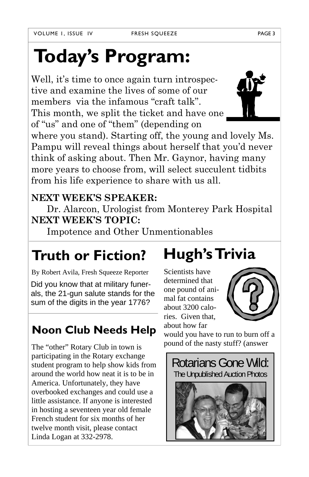# **Today's Program:**

Well, it's time to once again turn introspective and examine the lives of some of our members via the infamous "craft talk". This month, we split the ticket and have one of "us" and one of "them" (depending on

where you stand). Starting off, the young and lovely Ms. Pampu will reveal things about herself that you'd never think of asking about. Then Mr. Gaynor, having many more years to choose from, will select succulent tidbits from his life experience to share with us all.

#### **NEXT WEEK'S SPEAKER:**

 Dr. Alarcon, Urologist from Monterey Park Hospital **NEXT WEEK'S TOPIC:**

Impotence and Other Unmentionables

### **Truth or Fiction?**

By Robert Avila, Fresh Squeeze Reporter

Did you know that at military funerals, the 21-gun salute stands for the sum of the digits in the year 1776?

#### **Noon Club Needs Help**

The "other" Rotary Club in town is participating in the Rotary exchange student program to help show kids from around the world how neat it is to be in America. Unfortunately, they have overbooked exchanges and could use a little assistance. If anyone is interested in hosting a seventeen year old female French student for six months of her twelve month visit, please contact Linda Logan at 332-2978.

# **Hugh's Trivia**

Scientists have determined that one pound of animal fat contains about 3200 calories. Given that, about how far

would you have to run to burn off a pound of the nasty stuff? (answer